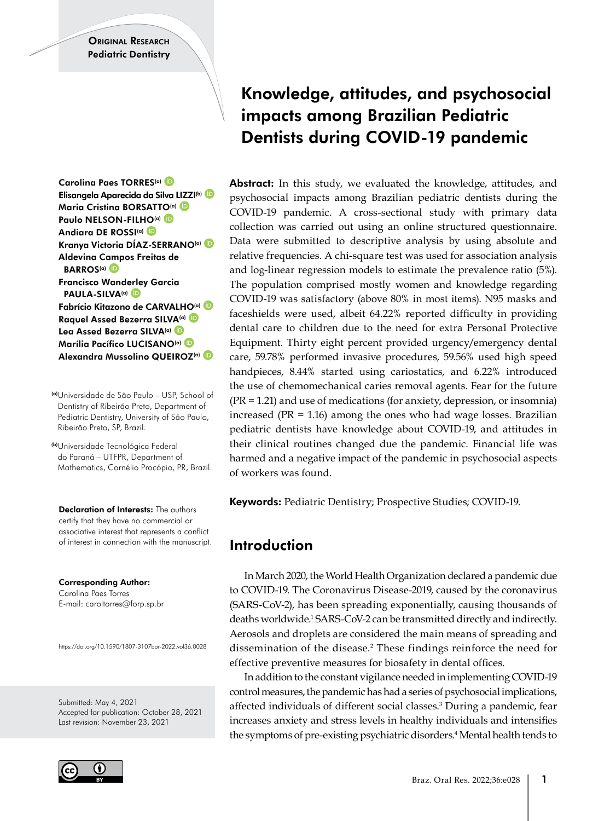Carolina Paes TORRES<sup>(a)</sup> Elisangela Aparecida da Silva [LIZZ](https://orcid.org 0000-0003-1386-1590)I(b) Maria Cristina BORSAT[TO](https://orcid.org 0000-0001-8802-6480)<sup>(a)</sup> Paulo NELSON-FIL[HO](https://orcid.org 0000-0002-0571-9474)(a) D Andiara DE ROSSI(a) Kranya Victoria DÍAZ-SERRANO(a) Aldevina C[amp](https://orcid.org 0000-0003-2431-1631)os Freitas de **BARROS<sup>(a)</sup>** Francisco Wand[erle](https://orcid.org 0000-0001-8559-532X)y Garcia PAULA-SILVA<sup>(a)</sup> Fabrício Kitazono de CARVALH[O](https://orcid.org 0000-0001-5099-1074)(a) Raquel Assed Bezerra SIL[VA](https://orcid.org 0000-0001-7118-6859)(a) Lea Assed Bezerra SILVA(a) Marília Pacífico LUCISANO(a) Alexandra Mussolino QUEIROZ<sup>(a)</sup>

(a)Universidade de São Paulo – USP, School of Dentistry of Ribeirão Preto, Department of Pediatric Dentistry, University of São Paulo, Ribeirão Preto, SP, Brazil.

(b)Universidade Tecnológica Federal do Paraná – UTFPR, Department of Mathematics, Cornélio Procópio, PR, Brazil.

Declaration of Interests: The authors certify that they have no commercial or associative interest that represents a conflict of interest in connection with the manuscript.

Corresponding Author: Carolina Paes Torres E-mail: caroltorres@forp.sp.br

https://doi.org/10.1590/1807-3107bor-2022.vol36.0028

Submitted: May 4, 2021 Accepted for publication: October 28, 2021 Last revision: November 23, 2021



# Knowledge, attitudes, and psychosocial impacts among Brazilian Pediatric Dentists during COVID-19 pandemic

Abstract: In this study, we evaluated the knowledge, attitudes, and psychosocial impacts among Brazilian pediatric dentists during the COVID-19 pandemic. A cross-sectional study with primary data collection was carried out using an online structured questionnaire. Data were submitted to descriptive analysis by using absolute and relative frequencies. A chi-square test was used for association analysis and log-linear regression models to estimate the prevalence ratio (5%). The population comprised mostly women and knowledge regarding COVID-19 was satisfactory (above 80% in most items). N95 masks and faceshields were used, albeit 64.22% reported difficulty in providing dental care to children due to the need for extra Personal Protective Equipment. Thirty eight percent provided urgency/emergency dental care, 59.78% performed invasive procedures, 59.56% used high speed handpieces, 8.44% started using cariostatics, and 6.22% introduced the use of chemomechanical caries removal agents. Fear for the future (PR = 1.21) and use of medications (for anxiety, depression, or insomnia) increased (PR = 1.16) among the ones who had wage losses. Brazilian pediatric dentists have knowledge about COVID-19, and attitudes in their clinical routines changed due the pandemic. Financial life was harmed and a negative impact of the pandemic in psychosocial aspects of workers was found.

Keywords: Pediatric Dentistry; Prospective Studies; COVID-19.

# Introduction

In March 2020, the World Health Organization declared a pandemic due to COVID-19. The Coronavirus Disease-2019, caused by the coronavirus (SARS-CoV-2), has been spreading exponentially, causing thousands of deaths worldwide.<sup>1</sup> SARS-CoV-2 can be transmitted directly and indirectly. Aerosols and droplets are considered the main means of spreading and dissemination of the disease.2 These findings reinforce the need for effective preventive measures for biosafety in dental offices.

In addition to the constant vigilance needed in implementing COVID-19 control measures, the pandemic has had a series of psychosocial implications, affected individuals of different social classes.3 During a pandemic, fear increases anxiety and stress levels in healthy individuals and intensifies the symptoms of pre-existing psychiatric disorders.<sup>4</sup> Mental health tends to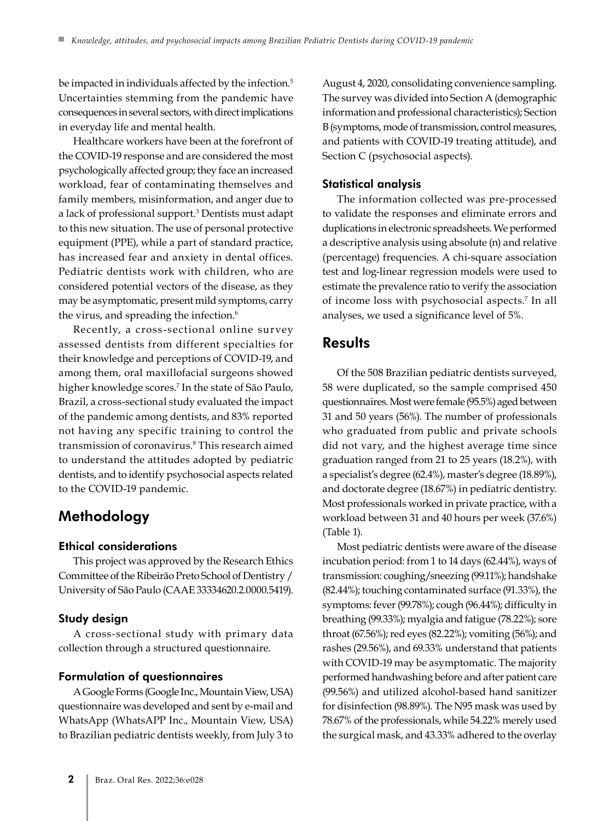be impacted in individuals affected by the infection.<sup>5</sup> Uncertainties stemming from the pandemic have consequences in several sectors, with direct implications in everyday life and mental health.

Healthcare workers have been at the forefront of the COVID-19 response and are considered the most psychologically affected group; they face an increased workload, fear of contaminating themselves and family members, misinformation, and anger due to a lack of professional support.3 Dentists must adapt to this new situation. The use of personal protective equipment (PPE), while a part of standard practice, has increased fear and anxiety in dental offices. Pediatric dentists work with children, who are considered potential vectors of the disease, as they may be asymptomatic, present mild symptoms, carry the virus, and spreading the infection.<sup>6</sup>

Recently, a cross-sectional online survey assessed dentists from different specialties for their knowledge and perceptions of COVID-19, and among them, oral maxillofacial surgeons showed higher knowledge scores.7 In the state of São Paulo, Brazil, a cross-sectional study evaluated the impact of the pandemic among dentists, and 83% reported not having any specific training to control the transmission of coronavirus.8 This research aimed to understand the attitudes adopted by pediatric dentists, and to identify psychosocial aspects related to the COVID-19 pandemic.

# Methodology

#### Ethical considerations

This project was approved by the Research Ethics Committee of the Ribeirão Preto School of Dentistry / University of São Paulo (CAAE 33334620.2.0000.5419).

#### Study design

A cross-sectional study with primary data collection through a structured questionnaire.

#### Formulation of questionnaires

A Google Forms (Google Inc., Mountain View, USA) questionnaire was developed and sent by e-mail and WhatsApp (WhatsAPP Inc., Mountain View, USA) to Brazilian pediatric dentists weekly, from July 3 to August 4, 2020, consolidating convenience sampling. The survey was divided into Section A (demographic information and professional characteristics); Section B (symptoms, mode of transmission, control measures, and patients with COVID-19 treating attitude), and Section C (psychosocial aspects).

#### Statistical analysis

The information collected was pre-processed to validate the responses and eliminate errors and duplications in electronic spreadsheets. We performed a descriptive analysis using absolute (n) and relative (percentage) frequencies. A chi-square association test and log-linear regression models were used to estimate the prevalence ratio to verify the association of income loss with psychosocial aspects.7 In all analyses, we used a significance level of 5%.

### **Results**

Of the 508 Brazilian pediatric dentists surveyed, 58 were duplicated, so the sample comprised 450 questionnaires. Most were female (95.5%) aged between 31 and 50 years (56%). The number of professionals who graduated from public and private schools did not vary, and the highest average time since graduation ranged from 21 to 25 years (18.2%), with a specialist's degree (62.4%), master's degree (18.89%), and doctorate degree (18.67%) in pediatric dentistry. Most professionals worked in private practice, with a workload between 31 and 40 hours per week (37.6%) (Table 1).

Most pediatric dentists were aware of the disease incubation period: from 1 to 14 days (62.44%), ways of transmission: coughing/sneezing (99.11%); handshake (82.44%); touching contaminated surface (91.33%), the symptoms: fever (99.78%); cough (96.44%); difficulty in breathing (99.33%); myalgia and fatigue (78.22%); sore throat (67.56%); red eyes (82.22%); vomiting (56%); and rashes (29.56%), and 69.33% understand that patients with COVID-19 may be asymptomatic. The majority performed handwashing before and after patient care (99.56%) and utilized alcohol-based hand sanitizer for disinfection (98.89%). The N95 mask was used by 78.67% of the professionals, while 54.22% merely used the surgical mask, and 43.33% adhered to the overlay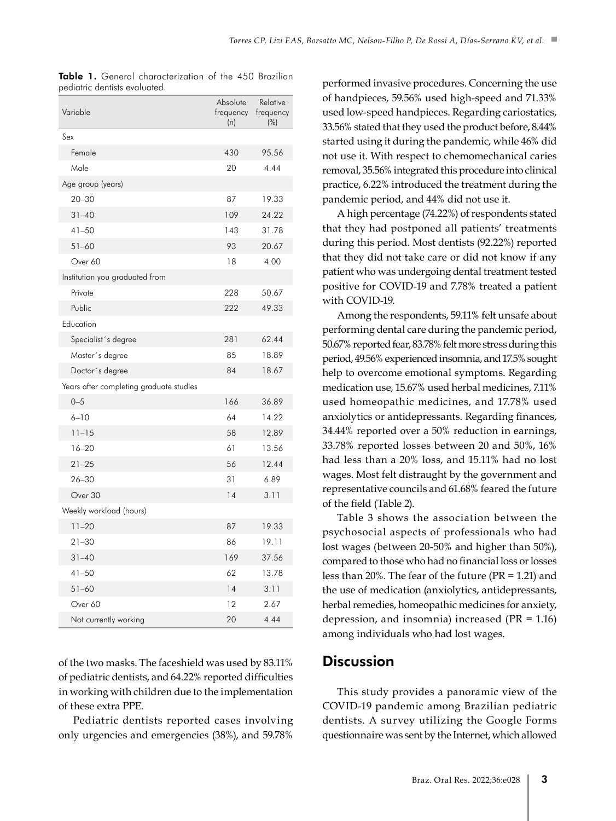| Variable                                | Absolute<br>frequency<br>(n) | Relative<br>frequency<br>$(\%)$ |
|-----------------------------------------|------------------------------|---------------------------------|
| Sex                                     |                              |                                 |
| Female                                  | 430                          | 95.56                           |
| Male                                    | 20                           | 4.44                            |
| Age group (years)                       |                              |                                 |
| $20 - 30$                               | 87                           | 19.33                           |
| $31 - 40$                               | 109                          | 24.22                           |
| $41 - 50$                               | 143                          | 31.78                           |
| $51 - 60$                               | 93                           | 20.67                           |
| Over 60                                 | 18                           | 4.00                            |
| Institution you graduated from          |                              |                                 |
| Private                                 | 228                          | 50.67                           |
| Public                                  | 222                          | 49.33                           |
| Education                               |                              |                                 |
| Specialist's degree                     | 281                          | 62.44                           |
| Master's degree                         | 85                           | 18.89                           |
| Doctor's degree                         | 84                           | 18.67                           |
| Years after completing graduate studies |                              |                                 |
| $0 - 5$                                 | 166                          | 36.89                           |
| $6 - 10$                                | 64                           | 14.22                           |
| $11 - 15$                               | 58                           | 12.89                           |
| $16 - 20$                               | 61                           | 13.56                           |
| $21 - 25$                               | 56                           | 12.44                           |
| $26 - 30$                               | 31                           | 6.89                            |
| Over 30                                 | 14                           | 3.11                            |
| Weekly workload (hours)                 |                              |                                 |
| $11 - 20$                               | 87                           | 19.33                           |
| $21 - 30$                               | 86                           | 19.11                           |
| $31 - 40$                               | 169                          | 37.56                           |
| $41 - 50$                               | 62                           | 13.78                           |
| $51 - 60$                               | 14                           | 3.11                            |
| Over 60                                 | 12                           | 2.67                            |
| Not currently working                   | 20                           | 4.44                            |

|                               | Table 1. General characterization of the 450 Brazilian |  |  |
|-------------------------------|--------------------------------------------------------|--|--|
| pediatric dentists evaluated. |                                                        |  |  |

of the two masks. The faceshield was used by 83.11% of pediatric dentists, and 64.22% reported difficulties in working with children due to the implementation of these extra PPE.

Pediatric dentists reported cases involving only urgencies and emergencies (38%), and 59.78%

performed invasive procedures. Concerning the use of handpieces, 59.56% used high-speed and 71.33% used low-speed handpieces. Regarding cariostatics, 33.56% stated that they used the product before, 8.44% started using it during the pandemic, while 46% did not use it. With respect to chemomechanical caries removal, 35.56% integrated this procedure into clinical practice, 6.22% introduced the treatment during the pandemic period, and 44% did not use it.

A high percentage (74.22%) of respondents stated that they had postponed all patients' treatments during this period. Most dentists (92.22%) reported that they did not take care or did not know if any patient who was undergoing dental treatment tested positive for COVID-19 and 7.78% treated a patient with COVID-19.

Among the respondents, 59.11% felt unsafe about performing dental care during the pandemic period, 50.67% reported fear, 83.78% felt more stress during this period, 49.56% experienced insomnia, and 17.5% sought help to overcome emotional symptoms. Regarding medication use, 15.67% used herbal medicines, 7.11% used homeopathic medicines, and 17.78% used anxiolytics or antidepressants. Regarding finances, 34.44% reported over a 50% reduction in earnings, 33.78% reported losses between 20 and 50%, 16% had less than a 20% loss, and 15.11% had no lost wages. Most felt distraught by the government and representative councils and 61.68% feared the future of the field (Table 2).

Table 3 shows the association between the psychosocial aspects of professionals who had lost wages (between 20-50% and higher than 50%), compared to those who had no financial loss or losses less than 20%. The fear of the future (PR = 1.21) and the use of medication (anxiolytics, antidepressants, herbal remedies, homeopathic medicines for anxiety, depression, and insomnia) increased (PR = 1.16) among individuals who had lost wages.

### **Discussion**

This study provides a panoramic view of the COVID-19 pandemic among Brazilian pediatric dentists. A survey utilizing the Google Forms questionnaire was sent by the Internet, which allowed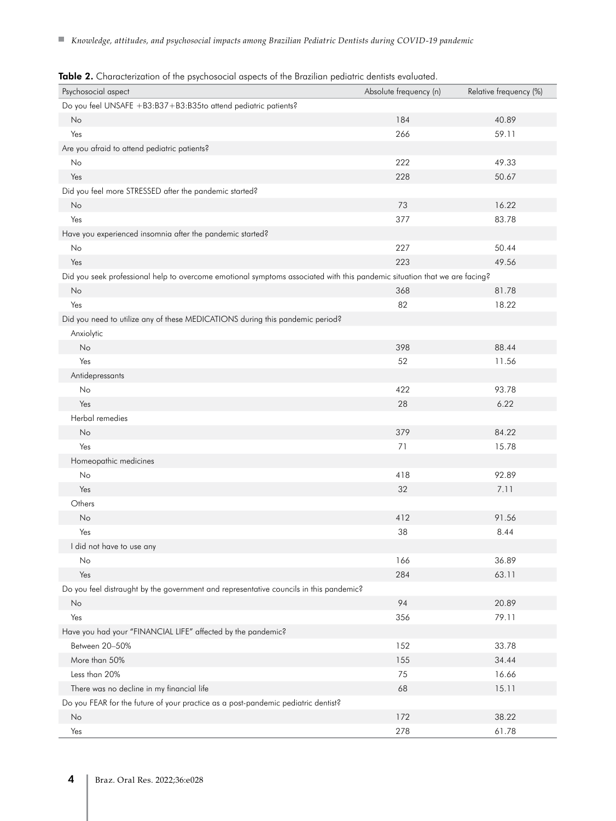| Do you feel UNSAFE +B3:B37+B3:B35to attend pediatric patients?<br>184<br>No<br>40.89<br>266<br>59.11<br>Yes<br>Are you afraid to attend pediatric patients?<br>222<br>49.33<br>No<br>Yes<br>228<br>50.67<br>Did you feel more STRESSED after the pandemic started?<br>73<br>16.22<br>No<br>Yes<br>377<br>83.78<br>Have you experienced insomnia after the pandemic started?<br>227<br>50.44<br>No<br>Yes<br>223<br>49.56<br>Did you seek professional help to overcome emotional symptoms associated with this pandemic situation that we are facing?<br>368<br>81.78<br>No<br>82<br>Yes<br>18.22<br>Did you need to utilize any of these MEDICATIONS during this pandemic period?<br>Anxiolytic<br>398<br>88.44<br>No<br>Yes<br>52<br>11.56<br>Antidepressants<br>No<br>422<br>93.78<br>6.22<br>Yes<br>28<br>Herbal remedies<br>379<br>No<br>84.22<br>Yes<br>71<br>15.78<br>Homeopathic medicines<br>418<br>92.89<br>No<br>32<br>Yes<br>7.11<br>Others<br>412<br>91.56<br>No<br>Yes<br>38<br>8.44<br>I did not have to use any<br>166<br>36.89<br>No<br>284<br>Yes<br>63.11<br>Do you feel distraught by the government and representative councils in this pandemic?<br>94<br>No<br>20.89<br>356<br>79.11<br>Yes<br>Have you had your "FINANCIAL LIFE" affected by the pandemic?<br>Between 20-50%<br>152<br>33.78<br>More than 50%<br>155<br>34.44<br>Less than 20%<br>16.66<br>75<br>There was no decline in my financial life<br>68<br>15.11<br>Do you FEAR for the future of your practice as a post-pandemic pediatric dentist?<br>172<br>38.22<br>No | Psychosocial aspect | Absolute frequency (n) | Relative frequency (%) |
|--------------------------------------------------------------------------------------------------------------------------------------------------------------------------------------------------------------------------------------------------------------------------------------------------------------------------------------------------------------------------------------------------------------------------------------------------------------------------------------------------------------------------------------------------------------------------------------------------------------------------------------------------------------------------------------------------------------------------------------------------------------------------------------------------------------------------------------------------------------------------------------------------------------------------------------------------------------------------------------------------------------------------------------------------------------------------------------------------------------------------------------------------------------------------------------------------------------------------------------------------------------------------------------------------------------------------------------------------------------------------------------------------------------------------------------------------------------------------------------------------------------------------------------------------------------|---------------------|------------------------|------------------------|
|                                                                                                                                                                                                                                                                                                                                                                                                                                                                                                                                                                                                                                                                                                                                                                                                                                                                                                                                                                                                                                                                                                                                                                                                                                                                                                                                                                                                                                                                                                                                                              |                     |                        |                        |
|                                                                                                                                                                                                                                                                                                                                                                                                                                                                                                                                                                                                                                                                                                                                                                                                                                                                                                                                                                                                                                                                                                                                                                                                                                                                                                                                                                                                                                                                                                                                                              |                     |                        |                        |
|                                                                                                                                                                                                                                                                                                                                                                                                                                                                                                                                                                                                                                                                                                                                                                                                                                                                                                                                                                                                                                                                                                                                                                                                                                                                                                                                                                                                                                                                                                                                                              |                     |                        |                        |
|                                                                                                                                                                                                                                                                                                                                                                                                                                                                                                                                                                                                                                                                                                                                                                                                                                                                                                                                                                                                                                                                                                                                                                                                                                                                                                                                                                                                                                                                                                                                                              |                     |                        |                        |
|                                                                                                                                                                                                                                                                                                                                                                                                                                                                                                                                                                                                                                                                                                                                                                                                                                                                                                                                                                                                                                                                                                                                                                                                                                                                                                                                                                                                                                                                                                                                                              |                     |                        |                        |
|                                                                                                                                                                                                                                                                                                                                                                                                                                                                                                                                                                                                                                                                                                                                                                                                                                                                                                                                                                                                                                                                                                                                                                                                                                                                                                                                                                                                                                                                                                                                                              |                     |                        |                        |
|                                                                                                                                                                                                                                                                                                                                                                                                                                                                                                                                                                                                                                                                                                                                                                                                                                                                                                                                                                                                                                                                                                                                                                                                                                                                                                                                                                                                                                                                                                                                                              |                     |                        |                        |
|                                                                                                                                                                                                                                                                                                                                                                                                                                                                                                                                                                                                                                                                                                                                                                                                                                                                                                                                                                                                                                                                                                                                                                                                                                                                                                                                                                                                                                                                                                                                                              |                     |                        |                        |
|                                                                                                                                                                                                                                                                                                                                                                                                                                                                                                                                                                                                                                                                                                                                                                                                                                                                                                                                                                                                                                                                                                                                                                                                                                                                                                                                                                                                                                                                                                                                                              |                     |                        |                        |
|                                                                                                                                                                                                                                                                                                                                                                                                                                                                                                                                                                                                                                                                                                                                                                                                                                                                                                                                                                                                                                                                                                                                                                                                                                                                                                                                                                                                                                                                                                                                                              |                     |                        |                        |
|                                                                                                                                                                                                                                                                                                                                                                                                                                                                                                                                                                                                                                                                                                                                                                                                                                                                                                                                                                                                                                                                                                                                                                                                                                                                                                                                                                                                                                                                                                                                                              |                     |                        |                        |
|                                                                                                                                                                                                                                                                                                                                                                                                                                                                                                                                                                                                                                                                                                                                                                                                                                                                                                                                                                                                                                                                                                                                                                                                                                                                                                                                                                                                                                                                                                                                                              |                     |                        |                        |
|                                                                                                                                                                                                                                                                                                                                                                                                                                                                                                                                                                                                                                                                                                                                                                                                                                                                                                                                                                                                                                                                                                                                                                                                                                                                                                                                                                                                                                                                                                                                                              |                     |                        |                        |
|                                                                                                                                                                                                                                                                                                                                                                                                                                                                                                                                                                                                                                                                                                                                                                                                                                                                                                                                                                                                                                                                                                                                                                                                                                                                                                                                                                                                                                                                                                                                                              |                     |                        |                        |
|                                                                                                                                                                                                                                                                                                                                                                                                                                                                                                                                                                                                                                                                                                                                                                                                                                                                                                                                                                                                                                                                                                                                                                                                                                                                                                                                                                                                                                                                                                                                                              |                     |                        |                        |
|                                                                                                                                                                                                                                                                                                                                                                                                                                                                                                                                                                                                                                                                                                                                                                                                                                                                                                                                                                                                                                                                                                                                                                                                                                                                                                                                                                                                                                                                                                                                                              |                     |                        |                        |
|                                                                                                                                                                                                                                                                                                                                                                                                                                                                                                                                                                                                                                                                                                                                                                                                                                                                                                                                                                                                                                                                                                                                                                                                                                                                                                                                                                                                                                                                                                                                                              |                     |                        |                        |
|                                                                                                                                                                                                                                                                                                                                                                                                                                                                                                                                                                                                                                                                                                                                                                                                                                                                                                                                                                                                                                                                                                                                                                                                                                                                                                                                                                                                                                                                                                                                                              |                     |                        |                        |
|                                                                                                                                                                                                                                                                                                                                                                                                                                                                                                                                                                                                                                                                                                                                                                                                                                                                                                                                                                                                                                                                                                                                                                                                                                                                                                                                                                                                                                                                                                                                                              |                     |                        |                        |
|                                                                                                                                                                                                                                                                                                                                                                                                                                                                                                                                                                                                                                                                                                                                                                                                                                                                                                                                                                                                                                                                                                                                                                                                                                                                                                                                                                                                                                                                                                                                                              |                     |                        |                        |
|                                                                                                                                                                                                                                                                                                                                                                                                                                                                                                                                                                                                                                                                                                                                                                                                                                                                                                                                                                                                                                                                                                                                                                                                                                                                                                                                                                                                                                                                                                                                                              |                     |                        |                        |
|                                                                                                                                                                                                                                                                                                                                                                                                                                                                                                                                                                                                                                                                                                                                                                                                                                                                                                                                                                                                                                                                                                                                                                                                                                                                                                                                                                                                                                                                                                                                                              |                     |                        |                        |
|                                                                                                                                                                                                                                                                                                                                                                                                                                                                                                                                                                                                                                                                                                                                                                                                                                                                                                                                                                                                                                                                                                                                                                                                                                                                                                                                                                                                                                                                                                                                                              |                     |                        |                        |
|                                                                                                                                                                                                                                                                                                                                                                                                                                                                                                                                                                                                                                                                                                                                                                                                                                                                                                                                                                                                                                                                                                                                                                                                                                                                                                                                                                                                                                                                                                                                                              |                     |                        |                        |
|                                                                                                                                                                                                                                                                                                                                                                                                                                                                                                                                                                                                                                                                                                                                                                                                                                                                                                                                                                                                                                                                                                                                                                                                                                                                                                                                                                                                                                                                                                                                                              |                     |                        |                        |
|                                                                                                                                                                                                                                                                                                                                                                                                                                                                                                                                                                                                                                                                                                                                                                                                                                                                                                                                                                                                                                                                                                                                                                                                                                                                                                                                                                                                                                                                                                                                                              |                     |                        |                        |
|                                                                                                                                                                                                                                                                                                                                                                                                                                                                                                                                                                                                                                                                                                                                                                                                                                                                                                                                                                                                                                                                                                                                                                                                                                                                                                                                                                                                                                                                                                                                                              |                     |                        |                        |
|                                                                                                                                                                                                                                                                                                                                                                                                                                                                                                                                                                                                                                                                                                                                                                                                                                                                                                                                                                                                                                                                                                                                                                                                                                                                                                                                                                                                                                                                                                                                                              |                     |                        |                        |
|                                                                                                                                                                                                                                                                                                                                                                                                                                                                                                                                                                                                                                                                                                                                                                                                                                                                                                                                                                                                                                                                                                                                                                                                                                                                                                                                                                                                                                                                                                                                                              |                     |                        |                        |
|                                                                                                                                                                                                                                                                                                                                                                                                                                                                                                                                                                                                                                                                                                                                                                                                                                                                                                                                                                                                                                                                                                                                                                                                                                                                                                                                                                                                                                                                                                                                                              |                     |                        |                        |
|                                                                                                                                                                                                                                                                                                                                                                                                                                                                                                                                                                                                                                                                                                                                                                                                                                                                                                                                                                                                                                                                                                                                                                                                                                                                                                                                                                                                                                                                                                                                                              |                     |                        |                        |
|                                                                                                                                                                                                                                                                                                                                                                                                                                                                                                                                                                                                                                                                                                                                                                                                                                                                                                                                                                                                                                                                                                                                                                                                                                                                                                                                                                                                                                                                                                                                                              |                     |                        |                        |
|                                                                                                                                                                                                                                                                                                                                                                                                                                                                                                                                                                                                                                                                                                                                                                                                                                                                                                                                                                                                                                                                                                                                                                                                                                                                                                                                                                                                                                                                                                                                                              |                     |                        |                        |
|                                                                                                                                                                                                                                                                                                                                                                                                                                                                                                                                                                                                                                                                                                                                                                                                                                                                                                                                                                                                                                                                                                                                                                                                                                                                                                                                                                                                                                                                                                                                                              |                     |                        |                        |
|                                                                                                                                                                                                                                                                                                                                                                                                                                                                                                                                                                                                                                                                                                                                                                                                                                                                                                                                                                                                                                                                                                                                                                                                                                                                                                                                                                                                                                                                                                                                                              |                     |                        |                        |
|                                                                                                                                                                                                                                                                                                                                                                                                                                                                                                                                                                                                                                                                                                                                                                                                                                                                                                                                                                                                                                                                                                                                                                                                                                                                                                                                                                                                                                                                                                                                                              |                     |                        |                        |
|                                                                                                                                                                                                                                                                                                                                                                                                                                                                                                                                                                                                                                                                                                                                                                                                                                                                                                                                                                                                                                                                                                                                                                                                                                                                                                                                                                                                                                                                                                                                                              |                     |                        |                        |
|                                                                                                                                                                                                                                                                                                                                                                                                                                                                                                                                                                                                                                                                                                                                                                                                                                                                                                                                                                                                                                                                                                                                                                                                                                                                                                                                                                                                                                                                                                                                                              |                     |                        |                        |
|                                                                                                                                                                                                                                                                                                                                                                                                                                                                                                                                                                                                                                                                                                                                                                                                                                                                                                                                                                                                                                                                                                                                                                                                                                                                                                                                                                                                                                                                                                                                                              |                     |                        |                        |
|                                                                                                                                                                                                                                                                                                                                                                                                                                                                                                                                                                                                                                                                                                                                                                                                                                                                                                                                                                                                                                                                                                                                                                                                                                                                                                                                                                                                                                                                                                                                                              |                     |                        |                        |
|                                                                                                                                                                                                                                                                                                                                                                                                                                                                                                                                                                                                                                                                                                                                                                                                                                                                                                                                                                                                                                                                                                                                                                                                                                                                                                                                                                                                                                                                                                                                                              |                     |                        |                        |
|                                                                                                                                                                                                                                                                                                                                                                                                                                                                                                                                                                                                                                                                                                                                                                                                                                                                                                                                                                                                                                                                                                                                                                                                                                                                                                                                                                                                                                                                                                                                                              |                     |                        |                        |
|                                                                                                                                                                                                                                                                                                                                                                                                                                                                                                                                                                                                                                                                                                                                                                                                                                                                                                                                                                                                                                                                                                                                                                                                                                                                                                                                                                                                                                                                                                                                                              |                     |                        |                        |
|                                                                                                                                                                                                                                                                                                                                                                                                                                                                                                                                                                                                                                                                                                                                                                                                                                                                                                                                                                                                                                                                                                                                                                                                                                                                                                                                                                                                                                                                                                                                                              |                     |                        |                        |
| 278<br>Yes<br>61.78                                                                                                                                                                                                                                                                                                                                                                                                                                                                                                                                                                                                                                                                                                                                                                                                                                                                                                                                                                                                                                                                                                                                                                                                                                                                                                                                                                                                                                                                                                                                          |                     |                        |                        |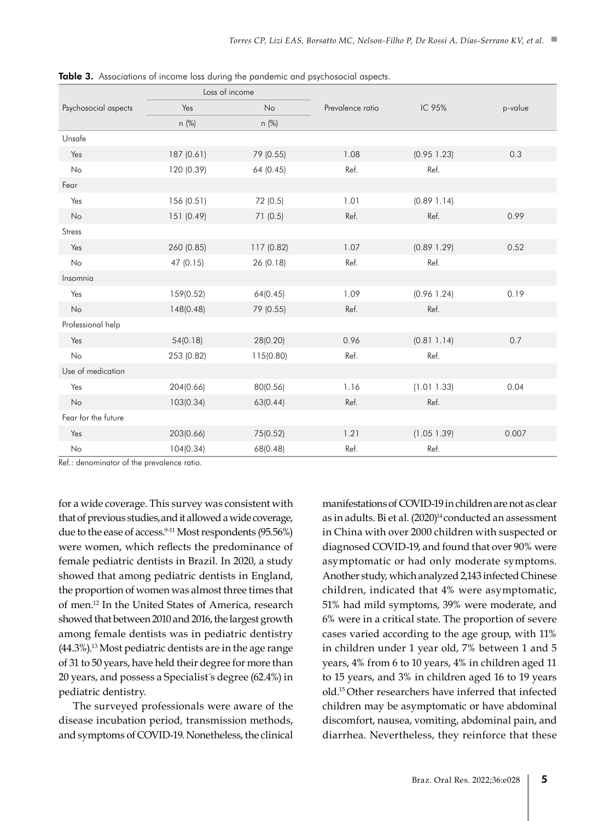|                      | Loss of income |            |                  |             |         |
|----------------------|----------------|------------|------------------|-------------|---------|
| Psychosocial aspects | Yes            | No         | Prevalence ratio | IC 95%      | p-value |
|                      | n (%)          | n (%)      |                  |             |         |
| Unsafe               |                |            |                  |             |         |
| Yes                  | 187 (0.61)     | 79 (0.55)  | 1.08             | (0.95 1.23) | 0.3     |
| No                   | 120 (0.39)     | 64 (0.45)  | Ref.             | Ref.        |         |
| Fear                 |                |            |                  |             |         |
| Yes                  | 156 (0.51)     | 72 (0.5)   | 1.01             | (0.89 1.14) |         |
| No                   | 151 (0.49)     | 71(0.5)    | Ref.             | Ref.        | 0.99    |
| Stress               |                |            |                  |             |         |
| Yes                  | 260 (0.85)     | 117 (0.82) | 1.07             | (0.89 1.29) | 0.52    |
| No                   | 47 (0.15)      | 26 (0.18)  | Ref.             | Ref.        |         |
| Insomnia             |                |            |                  |             |         |
| Yes                  | 159(0.52)      | 64(0.45)   | 1.09             | (0.96 1.24) | 0.19    |
| No                   | 148(0.48)      | 79 (0.55)  | Ref.             | Ref.        |         |
| Professional help    |                |            |                  |             |         |
| Yes                  | 54(0.18)       | 28(0.20)   | 0.96             | (0.81 1.14) | 0.7     |
| No                   | 253 (0.82)     | 115(0.80)  | Ref.             | Ref.        |         |
| Use of medication    |                |            |                  |             |         |
| Yes                  | 204(0.66)      | 80(0.56)   | 1.16             | (1.011.33)  | 0.04    |
| No                   | 103(0.34)      | 63(0.44)   | Ref.             | Ref.        |         |
| Fear for the future  |                |            |                  |             |         |
| Yes                  | 203(0.66)      | 75(0.52)   | 1.21             | (1.05 1.39) | 0.007   |
| No                   | 104(0.34)      | 68(0.48)   | Ref.             | Ref.        |         |

Table 3. Associations of income loss during the pandemic and psychosocial aspects.

Ref.: denominator of the prevalence ratio.

for a wide coverage. This survey was consistent with that of previous studies,and it allowed a wide coverage, due to the ease of access.<sup>9-11</sup> Most respondents (95.56%) were women, which reflects the predominance of female pediatric dentists in Brazil. In 2020, a study showed that among pediatric dentists in England, the proportion of women was almost three times that of men.12 In the United States of America, research showed that between 2010 and 2016, the largest growth among female dentists was in pediatric dentistry (44.3%).13 Most pediatric dentists are in the age range of 31 to 50 years, have held their degree for more than 20 years, and possess a Specialist´s degree (62.4%) in pediatric dentistry.

The surveyed professionals were aware of the disease incubation period, transmission methods, and symptoms of COVID-19. Nonetheless, the clinical manifestations of COVID-19 in children are not as clear as in adults. Bi et al. (2020)<sup>14</sup> conducted an assessment in China with over 2000 children with suspected or diagnosed COVID-19, and found that over 90% were asymptomatic or had only moderate symptoms. Another study, which analyzed 2,143 infected Chinese children, indicated that 4% were asymptomatic, 51% had mild symptoms, 39% were moderate, and 6% were in a critical state. The proportion of severe cases varied according to the age group, with 11% in children under 1 year old, 7% between 1 and 5 years, 4% from 6 to 10 years, 4% in children aged 11 to 15 years, and 3% in children aged 16 to 19 years old.15 Other researchers have inferred that infected children may be asymptomatic or have abdominal discomfort, nausea, vomiting, abdominal pain, and diarrhea. Nevertheless, they reinforce that these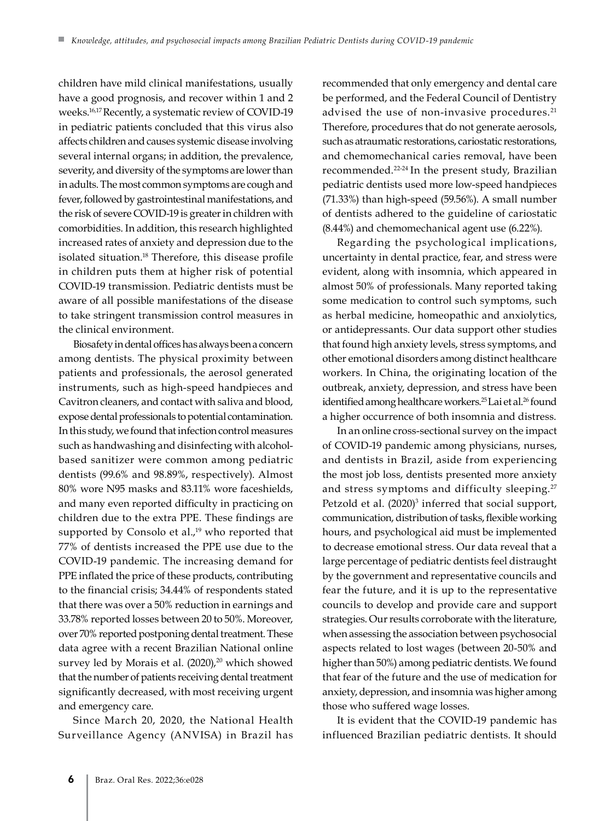children have mild clinical manifestations, usually have a good prognosis, and recover within 1 and 2 weeks.16,17 Recently, a systematic review of COVID-19 in pediatric patients concluded that this virus also affects children and causes systemic disease involving several internal organs; in addition, the prevalence, severity, and diversity of the symptoms are lower than in adults. The most common symptoms are cough and fever, followed by gastrointestinal manifestations, and the risk of severe COVID-19 is greater in children with comorbidities. In addition, this research highlighted increased rates of anxiety and depression due to the isolated situation.18 Therefore, this disease profile in children puts them at higher risk of potential COVID-19 transmission. Pediatric dentists must be aware of all possible manifestations of the disease to take stringent transmission control measures in the clinical environment.

Biosafety in dental offices has always been a concern among dentists. The physical proximity between patients and professionals, the aerosol generated instruments, such as high-speed handpieces and Cavitron cleaners, and contact with saliva and blood, expose dental professionals to potential contamination. In this study, we found that infection control measures such as handwashing and disinfecting with alcoholbased sanitizer were common among pediatric dentists (99.6% and 98.89%, respectively). Almost 80% wore N95 masks and 83.11% wore faceshields, and many even reported difficulty in practicing on children due to the extra PPE. These findings are supported by Consolo et al., $19$  who reported that 77% of dentists increased the PPE use due to the COVID-19 pandemic. The increasing demand for PPE inflated the price of these products, contributing to the financial crisis; 34.44% of respondents stated that there was over a 50% reduction in earnings and 33.78% reported losses between 20 to 50%. Moreover, over 70% reported postponing dental treatment. These data agree with a recent Brazilian National online survey led by Morais et al. (2020),<sup>20</sup> which showed that the number of patients receiving dental treatment significantly decreased, with most receiving urgent and emergency care.

Since March 20, 2020, the National Health Surveillance Agency (ANVISA) in Brazil has

recommended that only emergency and dental care be performed, and the Federal Council of Dentistry advised the use of non-invasive procedures.<sup>21</sup> Therefore, procedures that do not generate aerosols, such as atraumatic restorations, cariostatic restorations, and chemomechanical caries removal, have been recommended.22-24 In the present study, Brazilian pediatric dentists used more low-speed handpieces (71.33%) than high-speed (59.56%). A small number of dentists adhered to the guideline of cariostatic (8.44%) and chemomechanical agent use (6.22%).

Regarding the psychological implications, uncertainty in dental practice, fear, and stress were evident, along with insomnia, which appeared in almost 50% of professionals. Many reported taking some medication to control such symptoms, such as herbal medicine, homeopathic and anxiolytics, or antidepressants. Our data support other studies that found high anxiety levels, stress symptoms, and other emotional disorders among distinct healthcare workers. In China, the originating location of the outbreak, anxiety, depression, and stress have been identified among healthcare workers.<sup>25</sup> Lai et al.<sup>26</sup> found a higher occurrence of both insomnia and distress.

In an online cross-sectional survey on the impact of COVID-19 pandemic among physicians, nurses, and dentists in Brazil, aside from experiencing the most job loss, dentists presented more anxiety and stress symptoms and difficulty sleeping.27 Petzold et al. (2020)<sup>3</sup> inferred that social support, communication, distribution of tasks, flexible working hours, and psychological aid must be implemented to decrease emotional stress. Our data reveal that a large percentage of pediatric dentists feel distraught by the government and representative councils and fear the future, and it is up to the representative councils to develop and provide care and support strategies. Our results corroborate with the literature, when assessing the association between psychosocial aspects related to lost wages (between 20-50% and higher than 50%) among pediatric dentists. We found that fear of the future and the use of medication for anxiety, depression, and insomnia was higher among those who suffered wage losses.

It is evident that the COVID-19 pandemic has influenced Brazilian pediatric dentists. It should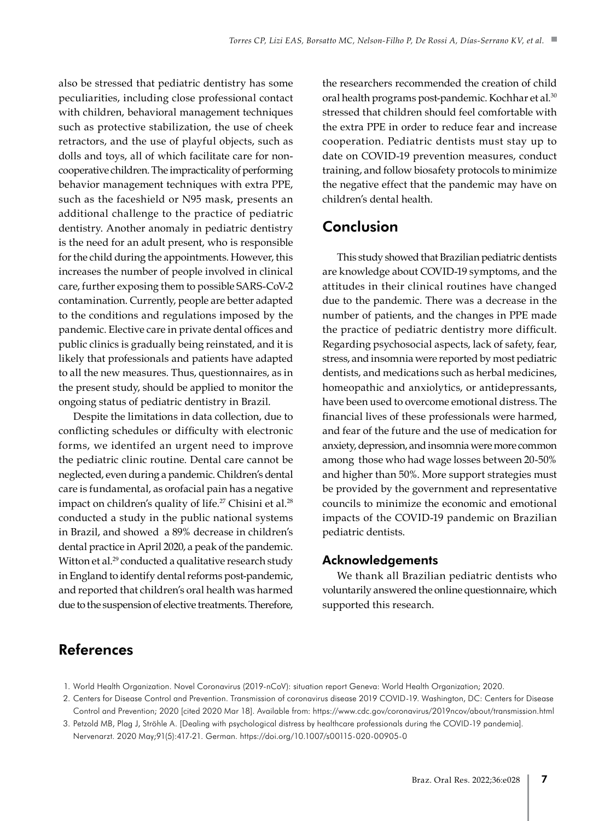also be stressed that pediatric dentistry has some peculiarities, including close professional contact with children, behavioral management techniques such as protective stabilization, the use of cheek retractors, and the use of playful objects, such as dolls and toys, all of which facilitate care for noncooperative children. The impracticality of performing behavior management techniques with extra PPE, such as the faceshield or N95 mask, presents an additional challenge to the practice of pediatric dentistry. Another anomaly in pediatric dentistry is the need for an adult present, who is responsible for the child during the appointments. However, this increases the number of people involved in clinical care, further exposing them to possible SARS-CoV-2 contamination. Currently, people are better adapted to the conditions and regulations imposed by the pandemic. Elective care in private dental offices and public clinics is gradually being reinstated, and it is likely that professionals and patients have adapted to all the new measures. Thus, questionnaires, as in the present study, should be applied to monitor the ongoing status of pediatric dentistry in Brazil.

Despite the limitations in data collection, due to conflicting schedules or difficulty with electronic forms, we identifed an urgent need to improve the pediatric clinic routine. Dental care cannot be neglected, even during a pandemic. Children's dental care is fundamental, as orofacial pain has a negative impact on children's quality of life.<sup>27</sup> Chisini et al.<sup>28</sup> conducted a study in the public national systems in Brazil, and showed a 89% decrease in children's dental practice in April 2020, a peak of the pandemic. Witton et al.<sup>29</sup> conducted a qualitative research study in England to identify dental reforms post-pandemic, and reported that children's oral health was harmed due to the suspension of elective treatments. Therefore,

the researchers recommended the creation of child oral health programs post-pandemic. Kochhar et al.30 stressed that children should feel comfortable with the extra PPE in order to reduce fear and increase cooperation. Pediatric dentists must stay up to date on COVID-19 prevention measures, conduct training, and follow biosafety protocols to minimize the negative effect that the pandemic may have on children's dental health.

### Conclusion

This study showed that Brazilian pediatric dentists are knowledge about COVID-19 symptoms, and the attitudes in their clinical routines have changed due to the pandemic. There was a decrease in the number of patients, and the changes in PPE made the practice of pediatric dentistry more difficult. Regarding psychosocial aspects, lack of safety, fear, stress, and insomnia were reported by most pediatric dentists, and medications such as herbal medicines, homeopathic and anxiolytics, or antidepressants, have been used to overcome emotional distress. The financial lives of these professionals were harmed, and fear of the future and the use of medication for anxiety, depression, and insomnia were more common among those who had wage losses between 20-50% and higher than 50%. More support strategies must be provided by the government and representative councils to minimize the economic and emotional impacts of the COVID-19 pandemic on Brazilian pediatric dentists.

#### Acknowledgements

We thank all Brazilian pediatric dentists who voluntarily answered the online questionnaire, which supported this research.

# References

- 1. World Health Organization. Novel Coronavirus (2019-nCoV): situation report Geneva: World Health Organization; 2020.
- 2. Centers for Disease Control and Prevention. Transmission of coronavirus disease 2019 COVID-19. Washington, DC: Centers for Disease Control and Prevention; 2020 [cited 2020 Mar 18]. Available from: https://www.cdc.gov/coronavirus/2019ncov/about/transmission.html
- 3. Petzold MB, Plag J, Ströhle A. [Dealing with psychological distress by healthcare professionals during the COVID-19 pandemia]. Nervenarzt. 2020 May;91(5):417-21. German. https://doi.org/10.1007/s00115-020-00905-0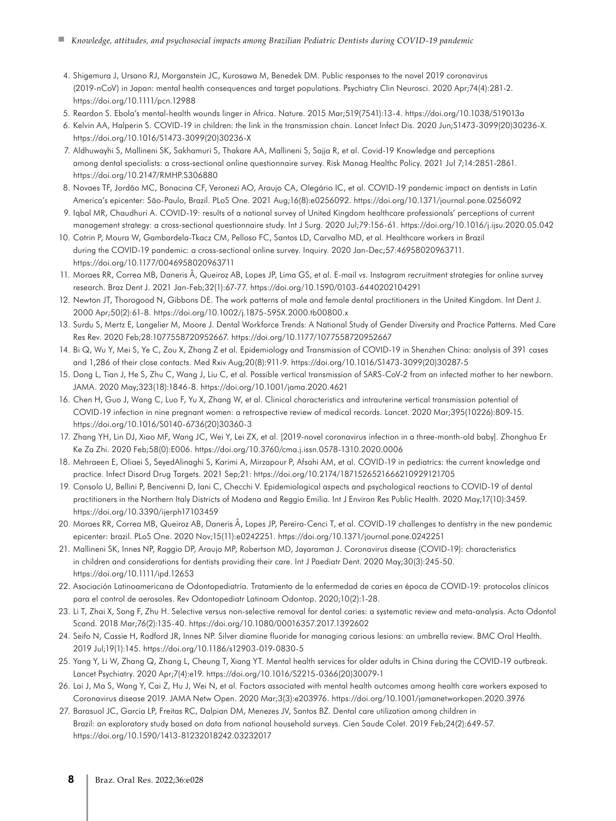- 4. Shigemura J, Ursano RJ, Morganstein JC, Kurosawa M, Benedek DM. Public responses to the novel 2019 coronavirus (2019-nCoV) in Japan: mental health consequences and target populations. Psychiatry Clin Neurosci. 2020 Apr;74(4):281-2. https://doi.org/10.1111/pcn.12988
- 5. Reardon S. Ebola's mental-health wounds linger in Africa. Nature. 2015 Mar;519(7541):13-4. https://doi.org/10.1038/519013a
- 6. Kelvin AA, Halperin S. COVID-19 in children: the link in the transmission chain. Lancet Infect Dis. 2020 Jun;S1473-3099(20)30236-X. https://doi.org/10.1016/S1473-3099(20)30236-X
- 7. Aldhuwayhi S, Mallineni SK, Sakhamuri S, Thakare AA, Mallineni S, Sajja R, et al. Covid-19 Knowledge and perceptions among dental specialists: a cross-sectional online questionnaire survey. Risk Manag Healthc Policy. 2021 Jul 7;14:2851-2861. https://doi.org/10.2147/RMHP.S306880
- 8. Novaes TF, Jordão MC, Bonacina CF, Veronezi AO, Araujo CA, Olegário IC, et al. COVID-19 pandemic impact on dentists in Latin America's epicenter: São-Paulo, Brazil. PLoS One. 2021 Aug;16(8):e0256092. https://doi.org/10.1371/journal.pone.0256092
- 9. Iqbal MR, Chaudhuri A. COVID-19: results of a national survey of United Kingdom healthcare professionals' perceptions of current management strategy: a cross-sectional questionnaire study. Int J Surg. 2020 Jul;79:156-61. https://doi.org/10.1016/j.ijsu.2020.05.042
- 10. Cotrin P, Moura W, Gambardela-Tkacz CM, Pelloso FC, Santos LD, Carvalho MD, et al. Healthcare workers in Brazil during the COVID-19 pandemic: a cross-sectional online survey. Inquiry. 2020 Jan-Dec;57:46958020963711. https://doi.org/10.1177/0046958020963711
- 11. Moraes RR, Correa MB, Daneris Â, Queiroz AB, Lopes JP, Lima GS, et al. E-mail vs. Instagram recruitment strategies for online survey research. Braz Dent J. 2021 Jan-Feb;32(1):67-77. https://doi.org/10.1590/0103-6440202104291
- 12. Newton JT, Thorogood N, Gibbons DE. The work patterns of male and female dental practitioners in the United Kingdom. Int Dent J. 2000 Apr;50(2):61-8. https://doi.org/10.1002/j.1875-595X.2000.tb00800.x
- 13. Surdu S, Mertz E, Langelier M, Moore J. Dental Workforce Trends: A National Study of Gender Diversity and Practice Patterns. Med Care Res Rev. 2020 Feb;28:1077558720952667. https://doi.org/10.1177/1077558720952667
- 14. Bi Q, Wu Y, Mei S, Ye C, Zou X, Zhang Z et al. Epidemiology and Transmission of COVID-19 in Shenzhen China: analysis of 391 cases and 1,286 of their close contacts. Med Rxiv Aug;20(8):911-9. https://doi.org/10.1016/S1473-3099(20)30287-5
- 15. Dong L, Tian J, He S, Zhu C, Wang J, Liu C, et al. Possible vertical transmission of SARS-CoV-2 from an infected mother to her newborn. JAMA. 2020 May;323(18):1846-8. https://doi.org/10.1001/jama.2020.4621
- 16. Chen H, Guo J, Wang C, Luo F, Yu X, Zhang W, et al. Clinical characteristics and intrauterine vertical transmission potential of COVID-19 infection in nine pregnant women: a retrospective review of medical records. Lancet. 2020 Mar;395(10226):809-15. https://doi.org/10.1016/S0140-6736(20)30360-3
- 17. Zhang YH, Lin DJ, Xiao MF, Wang JC, Wei Y, Lei ZX, et al. [2019-novel coronavirus infection in a three-month-old baby]. Zhonghua Er Ke Za Zhi. 2020 Feb;58(0):E006. https://doi.org/10.3760/cma.j.issn.0578-1310.2020.0006
- 18. Mehraeen E, Oliaei S, SeyedAlinaghi S, Karimi A, Mirzapour P, Afsahi AM, et al. COVID-19 in pediatrics: the current knowledge and practice. Infect Disord Drug Targets. 2021 Sep;21: https://doi.org/10.2174/1871526521666210929121705
- 19. Consolo U, Bellini P, Bencivenni D, Iani C, Checchi V. Epidemiological aspects and psychological reactions to COVID-19 of dental practitioners in the Northern Italy Districts of Modena and Reggio Emilia. Int J Environ Res Public Health. 2020 May;17(10):3459. https://doi.org/10.3390/ijerph17103459
- 20. Moraes RR, Correa MB, Queiroz AB, Daneris Â, Lopes JP, Pereira-Cenci T, et al. COVID-19 challenges to dentistry in the new pandemic epicenter: brazil. PLoS One. 2020 Nov;15(11):e0242251. https://doi.org/10.1371/journal.pone.0242251
- 21. Mallineni SK, Innes NP, Raggio DP, Araujo MP, Robertson MD, Jayaraman J. Coronavirus disease (COVID-19): characteristics in children and considerations for dentists providing their care. Int J Paediatr Dent. 2020 May;30(3):245-50. https://doi.org/10.1111/ipd.12653
- 22. Asociación Latinoamericana de Odontopediatría. Tratamiento de la enfermedad de caries en época de COVID-19: protocolos clínicos para el control de aerosoles. Rev Odontopediatr Latinoam Odontop. 2020;10(2):1-28.
- 23. Li T, Zhai X, Song F, Zhu H. Selective versus non-selective removal for dental caries: a systematic review and meta-analysis. Acta Odontol Scand. 2018 Mar;76(2):135-40. https://doi.org/10.1080/00016357.2017.1392602
- 24. Seifo N, Cassie H, Radford JR, Innes NP. Silver diamine fluoride for managing carious lesions: an umbrella review. BMC Oral Health. 2019 Jul;19(1):145. https://doi.org/10.1186/s12903-019-0830-5
- 25. Yang Y, Li W, Zhang Q, Zhang L, Cheung T, Xiang YT. Mental health services for older adults in China during the COVID-19 outbreak. Lancet Psychiatry. 2020 Apr;7(4):e19. https://doi.org/10.1016/S2215-0366(20)30079-1
- 26. Lai J, Ma S, Wang Y, Cai Z, Hu J, Wei N, et al. Factors associated with mental health outcomes among health care workers exposed to Coronavirus disease 2019. JAMA Netw Open. 2020 Mar;3(3):e203976. https://doi.org/10.1001/jamanetworkopen.2020.3976
- 27. Barasuol JC, Garcia LP, Freitas RC, Dalpian DM, Menezes JV, Santos BZ. Dental care utilization among children in Brazil: an exploratory study based on data from national household surveys. Cien Saude Colet. 2019 Feb;24(2):649-57. https://doi.org/10.1590/1413-81232018242.03232017